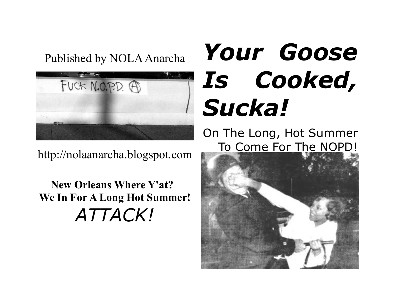### Published by NOLA Anarcha



http://nolaanarcha.blogspot.com

**New Orleans Where Y'at? We In For A Long Hot Summer!** *ATTACK!*

## *Your Goose Is Cooked, Sucka!*

On The Long, Hot Summer [To Come For The NOPD!](http://4.bp.blogspot.com/-DLJ10OANEy8/T7V6TvaSKsI/AAAAAAAAApQ/wrK9WY8Vt3Q/s1600/civilrightspunch.jpg)

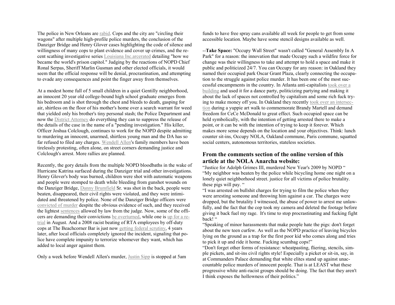The police in New Orleans are [rabid.](http://www.nola.com/opinions/index.ssf/2012/05/in_new_orleans_its_the_police.html) Cops and the city are "circling their wagons" after multiple high-profile police murders, the conclusion of the Danziger Bridge and Henry Glover cases highlighting the code of silence and willingness of many cops to plant evidence and cover up crimes, and the recent scathing investigative series [Louisiana Inc.arcerated](http://www.nola.com/prisons/) detailing "how we became the world's prison capitol." Judging by the reactions of NOPD Chief Ronal Serpas, Sheriff Marlin Gusman and other elected officials, it would seem that the official response will be denial, procrastination, and attempting to evade any consequences and point the finger away from themselves.

At a modest home full of 5 small children in a quiet Gentilly neighborhood, an innocent 20 year old college-bound high school graduate emerges from his bedroom and is shot through the chest and bleeds to death, gasping for air, shirtless on the floor of his mother's home over a search warrant for weed that yielded only his brother's tiny personal stash; the Police Department and now the [District Attorney](http://www.nola.com/crime/index.ssf/2012/04/results_of_nopd_investigation.html) do everything they can to suppress the release of the details of the case in the name of a "pending investigation." His killer, Officer Joshua Colclough, continues to work for the NOPD despite admitting to murdering an innocent, unarmed, shirtless young man and the DA has so far refused to filed any charges. [Wendell Allen'](http://nolaanarcha.blogspot.com/2012/03/wendell-allen-murdered-by-nopd-classic.html)s family members have been tirelessly protesting, often alone, on street corners demanding justice and Colclough's arrest. More rallies are planned.

Recently, the gory details from the multiple NOPD bloodbaths in the wake of Hurricane Katrina surfaced during the Danziger trial and other investigations. Henry Glover's body was burned, children were shot with automatic weapons and people were stomped to death while bleeding from gunshot wounds on the Danziger Bridge, [Danny Brumfield](http://www.theroot.com/views/battle-new-orleans-continues?page=0,1&wpisrc=root_lightbox) Sr. was shot in the back, people were beaten, disappeared, their civil rights were violated, and they were intimidated and threatened by police. None of the Danziger Bridge officers were [convicted of murder](http://nolaanarcha.blogspot.com/2011/08/killer-danziger-cops-not-guilty-of.html) despite the obvious evidence of such, and they received the lightest [sentences](http://www.nola.com/opinions/index.ssf/2012/04/new_orleans_police_convicted_i.html) allowed by law from the judge. Now, some of the officers are demanding their convictions [be overturned,](http://www.nola.com/crime/index.ssf/2012/05/officers_convicted_in_danziger.html) while one is [up for a re](http://www.nola.com/crime/index.ssf/2012/05/danziger_bridge_cover-up_suspe.html)[trial](http://www.nola.com/crime/index.ssf/2012/05/danziger_bridge_cover-up_suspe.html) in August. And a 2008 racist beating of RTA employees by off-duty cops at The Beachcorner Bar is just now [getting federal scrutiny,](http://www.nola.com/opinions/index.ssf/2012/05/brawl_involving_new_orleans_po.html) 4 years later, after local officials completely ignored the incident, signaling that police have complete impunity to terrorize whomever they want, which has added to local anger against them.

Only a week before Wendell Allen's murder, [Justin Sipp](http://nolaanarcha.blogspot.com/2012/03/mid-city-police-shootings-inevitable.html) is stopped at 5am

funds to have free spray cans available all week for people to get from some accessible location. Maybe have some stencil designs available as well.

--**Take Space:** "Occupy Wall Street" wasn't called "General Assembly In A Park" for a reason: the innovation that made Occupy such a wildfire force for change was their willingness to take and attempt to hold a space and make it public and politicized 24/7. You can Occupy for any reason: in Oakland they named their occupied park Oscar Grant Plaza, clearly connecting the occupation to the struggle against police murder. It has been one of the most successful encampments in the country. In Atlanta anti-capitalists [took over a](http://atlanta.indymedia.org/local/may-day-guerrilla-dance-party%20)  [building](http://atlanta.indymedia.org/local/may-day-guerrilla-dance-party%20) and used it for a dance party, politicizing partying and making it about the lack of spaces not controlled by capitalism and some rich fuck trying to make money off you. In Oakland they recently [took over an intersec](http://www.bayofrage.com/from-the-bay/free-cece-mcdonald-vengeance-for-brandy-martell-fuck-the-police/)[tion](http://www.bayofrage.com/from-the-bay/free-cece-mcdonald-vengeance-for-brandy-martell-fuck-the-police/) during a yuppie art walk to commemorate Brandy Martell and demand freedom for CeCe McDonald to great effect. Such occupied space can be held symbolically, with the intention of getting arrested there to make a point, or it can be with the intention of trying to keep it forever. Which makes more sense depends on the location and your objectives. Think: lunch counter sit-ins, Occupy NOLA, Oakland commune, Paris commune, squatted social centers, autonomous territories, stateless societies.

#### **From the comments section of the online version of this article at the NOLA Anarcha website:**

"Justice for Adolph Grimes III, murdered New Year's 2009 by NOPD " "My neighbor was beaten by the police while bicycling home one night on a lonely quiet neighborhood street. justice for all victims of police brutality. these pigs will pay. "

"I was arrested on bullshit charges for trying to film the police when they were arresting someone and throwing him against a car. The charges were dropped, but the brutality I witnessed, the abuse of power to arrest me unlawfully, and the fact that the cop took my camera and deleted the footage before giving it back fuel my rage. It's time to stop procrastinating and fucking fight back!"

"Speaking of minor harassments that make people hate the pigs: don't forget about the new teen curfew. As well as the NOPD practice of leaving bicycles lying on the ground as a trap for the first poor kid who comes along and tries to pick it up and ride it home. Fucking scumbag cops!"

"Don't forget other forms of resistance: wheatpasting, fliering, stencils, simple pickets, and sit-ins civil rights style! Especially a picket or sit-in, say, in at Commanders Palace demanding that white elites stand up against unaccountable police murders of innocent people. That is at LEAST what these progressive white anti-racist groups should be doing. The fact that they aren't I think exposes the hollowness of their politics."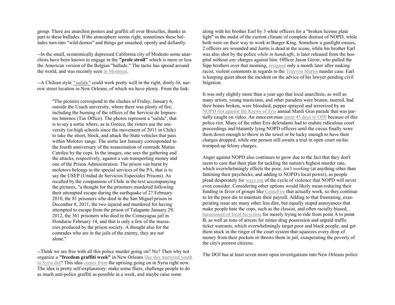group. There are anarchist posters and graffiti all over Bruxelles, thanks in part to these ballades. If the atmosphere seems right, sometimes these ballades turn into "wild demos" and things get smashed, openly and defiantly.

--In the small, economically depressed California city of Modesto some anarchists have been known to engage in the **"prole stroll"** which is more or less the American version of the Belgian "ballade." The tactic has spread around the world, and was recently seen [in Montreal.](http://vancouver.mediacoop.ca/blog/insurgent-g/10254)

--A Chilean style *["salida"](http://sysiphus-angrynewsfromaroundtheworld.blogspot.com/2012/03/santiago-chile-attack-on-prison-van-in.html)* could work pretty well in the right, dimly-lit, narrow street location in New Orleans, of which we have plenty. From the link:

"The pictures correspond to the clashes of Friday, January 6, outside the Usach university, where there was plenty of fire, including the burning of the offices of the Servicio de Impuestos Internos (Tax Office). The photos represent a "salida", that is to say a sortie where, as in Greece, the rioters use the university (or high schools since the movement of 2011 in Chile) to take the street, block, and attack the State vehicles that pass within Molotov range. The sortie last January corresponded to the fourth anniversary of the assassination of comrade Matías Catrileo by the cops. In the images, one sees the gathering and the attacks, respectively, against a van transporting money and one of the Prison Administration. The prison van burnt by molotovs belongs to the special services of the PA, that is to say the USEP (Unidad de Servicios Especiales Prisons). As recalled by the companions of Chile in the text accompanying the pictures, "a thought for the prisoners murdered following their attempted escape during the earthquake of 27 February 2010, the 81 prisoners who died in the San Miguel prison in December 8, 2011, the two injured and murdered for having attempted to escape from the prison of Talagante January 29, 2012, the 361 prisoners who died in the Comayagua jail in Honduras February 14, and that is only a few of the massacres produced by the prison society. A thought also for the comrades who are in the jails of the enemy, they are not alone."

--Think we are free with all this police murder going on? No? Then why not organize a **"freedom graffiti week"** in New Orleans [like this martyred youth](http://www.npr.org/2012/05/02/151852095/a-syrian-graffiti-artist-defiant-until-death)  [in Syria did?](http://www.npr.org/2012/05/02/151852095/a-syrian-graffiti-artist-defiant-until-death) This idea [comes from](http://www.stencilarchive.org/node/1324) the uprising going on in Syria right now. The idea is pretty self-explanatory: make some fliers, challenge people to do as much anti-police graffiti as possible in a week, and maybe raise some

along with his brother Earl by 3 white officers for a "broken license plate light" in the midst of the current climate of complete distrust of NOPD, while both were on their way to work at Burger King. Somehow a gunfight ensues, 2 officers are wounded and Justin is dead at the scene, while his brother Earl was also shot by the police *while in handcuffs*, is later released from the hospital without *any* charges against him. Officer Jason Giroir, who pulled the Sipp brothers over that morning, [resigned](http://www.huffingtonpost.com/2012/03/27/jason-giroir-new-orleans-_n_1383980.html) only a month later after making racist, violent comments in regards to the [Trayvon Martin](http://nolaanarcha.blogspot.com/2012/04/trayvon-martin-wendell-allen-justin.html) murder case. Earl is keeping quiet about the incident on the advice of his lawyer pending civil litigation.

It was only slightly more than a year ago that local anarchists, as well as many artists, young musicians, and other paraders were beaten, tasered, had their bones broken, were bloodied, pepper-sprayed and terrorized by an [NOPD riot against the Krewe of Eris](http://nolaanarcha.blogspot.com/2011/06/krewe-of-eris-12-formally-charged-with.html) annual Mardi Gras parade that was partially caught on video. An innocent man [spent 45 days in OPP](http://nolaanarcha.blogspot.com/2011/09/william-watkins-first-person-sentenced.html) because of this police riot. Many of the other Eris defendants had to endure ridiculous court proceedings and blatantly lying NOPD officers until the circus finally wore them down enough to throw in the towel or be lucky enough to have their charges dropped, while one person still awaits a trial in open court on his trumped-up felony charges.

Anger against NOPD also continues to grow due to the fact that they don't seem to care that their plan for tackling the nation's highest murder rate, which overwhelmingly effects the poor, *isn't working* (at anything other than fattening their paychecks, and adding to NOPD's local power), as people plead desperately for [ways out](http://nolaanarcha.blogspot.com/2011/09/william-watkins-first-person-sentenced.html) of the cycle of violence that NOPD will never even consider. Considering other options would likely mean reducing their funding in favor of groups like [CeaseFire](http://www.nola.com/crime/index.ssf/2012/04/ceasefire_program_to_reduce_st.html) that actually work, so they continue to let the poor die to maintain their payroll. Adding to that frustrating, exasperating issue are many other less dire, but equally stupid annoyances that make people hate the cops, such as the classist, and often racially biased, [harassment of local bicyclists](http://nolaanarcha.blogspot.com/2011/06/nopd-targets-cyclists-will-they-fight.html) for merely trying to ride from point A to point B, as well as tons of arrests for minor drug possession and unpaid traffic ticket warrants, which overwhelmingly target poor and black people, and get them stuck in the ringer of the court system that squeezes every drop of money from their pockets or throws them in jail, exasperating the poverty of the city's poorest citizens.

The DOJ has at least seven more open investigations into New Orleans police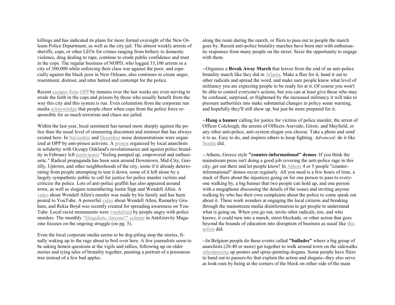killings and has indicated its plans for more formal oversight of the New Orleans Police Department, as well as the city jail. The almost weekly arrests of sheriffs, cops, or other LEOs for crimes ranging from bribery to domestic violence, drug dealing to rape, continue to erode public confidence and trust in the cops. The regular business of NOPD, who logged 33,100 arrests in a city of 300,000 while enforcing their class war against the poor, and especially against the black poor in New Orleans, also continues to create anger, resentment, distrust, and utter hatred and contempt for the police.

Recent [escapes](http://www.nola.com/opinions/index.ssf/2012/05/its_only_temporary.html) [from](http://www.nola.com/crime/index.ssf/2012/05/search_continues_for_third_inm.html) [OPP](http://www.nola.com/crime/index.ssf/2012/05/christian_brothers_school_on_l.html) by inmates over the last weeks are even serving to erode the faith in the cops and prisons by those who usually benefit from the way this city and this system is run. Even columnists from the corporate run media [acknowledge](http://www.nola.com/opinions/index.ssf/2012/05/in_new_orleans_its_the_police.html) that people cheer when cops from the police force responsible for so much terrorism and chaos are jailed.

Within the last year, local sentiment has turned more sharply against the police than the usual level of simmering discontent and mistrust that has always existed here. In [November](http://nolaanarcha.blogspot.com/2011/11/noise-demo-at-opp.html) and [December](http://nolaanarcha.blogspot.com/2012/01/nye-noise-demo-at-opp-in-solidarity.html) noise demonstrations were organized at OPP by anti-prison activists. A [protest](http://nolaanarcha.blogspot.com/2012/02/oakland-solidarityapb-march.html) organized by local anarchists in solidarity with Occupy Oakland's revolutionaries and against police brutality in February left [participants](http://nolaanarcha.blogspot.com/2012/02/fuck-police-new-orleans-protest.html) "feeling pumped up, empowered and enthusiastic." Radical propaganda has been seen around Downtown, Mid-City, Gentilly, Uptown, and other neighborhoods of the city, some if it already deteriorating from people attempting to tear it down, some of it left alone by a largely sympathetic public to call for justice for police murder victims and criticize the police. Lots of anti-police graffiti has also appeared around town, as well as slogans remembering Justin Sipp and Wendell Allen. A [video](http://www.youtube.com/watch?v=jbuz5iYZf0Y) about Wendell Allen's murder was made by his family and has been posted to YouTube. A powerful [video](http://www.youtube.com/watch?v=Jga0IQXT2XQ&feature=youtu.be) about Wendell Allen, Ramarley Graham, and Rekia Boyd was recently created for spreading awareness on You-Tube. Local racist monuments were [vandalized](http://www.anarchistnews.org/content/3-monuments-vandalized-justin-sipp-wendell-allen-and-trayvon-martin) by people angry with police murders. The monthly ["Slingshots, Anyone?" column](http://www.antigravitymagazine.com/antigravity_vol9_issue6.pdf) in AntiGravity Magazine focuses on the ongoing struggle (on pg. 5).

Even the local corporate media seems to be dog-piling atop the stories, finally waking up to the rage about to boil over here. A few journalists seem to be asking honest questions at the vigils and rallies, following up on older stories and tying tales of brutality together, painting a portrait of a poisonous tree instead of a few bad apples.

along the route during the march, or fliers to pass out to people the march goes by. Recent anti-police brutality marches have been met with enthusiastic responses from many people on the street. Seize the opportunity to engage with them.

--Organize a **Break Away March** that leaves from the end of an anti-police brutality march like they did in [Atlanta.](http://anarchistnews.org/content/atlanta-reacts-trayvon-martins-murder) Make a flier for it, hand it out to other radicals and spread the word, and make sure people know what level of militancy you are expecting people to be ready for at it. Of course you won't be able to control everyone's actions, but you can at least give those who may be confused, surprised, or frightened by the increased militancy it will take to pressure authorities into make substantial changes in policy some warning, and hopefully they'll still show up, but just be more prepared for it.

--**Hang a banner** calling for justice for victims of police murder, the arrest of Officer Colclough, the arrests of Officers Asevedo, Giroir, and Mayfield, or any other anti-police, anti-system slogan you choose. Take a photo and send it to us. Easy to do, and inspires others to keep fighting. *Advanced:* do it like [Seattle](http://pugetsoundanarchists.org/node/795) did.

--Athens, Greece style **"counter-informational" demos**: If you think the mainstream press isn't doing a good job covering the anti-police rage in this city, get out there and let people know! In [Athens](http://actforfreedomnow.wordpress.com/2011/05/26/briefing-from-the-solidarity-and-counter-information-gathering-that-took-place-today-24th-on-the-pavement-outside-the-athens-law-school-building-for-the-methodical-attempt-of-re-imprisoning-the-3-an/) 4 or 5 people "counterinformational" demos occur regularly. All you need is a few hours of time, a stack of fliers about the injustices going on for one person to pass to everyone walking by, a big banner that two people can hold up, and one person with a megaphone discussing the details of the issues and inviting anyone walking by who has their own complaints about the police to come speak out about it. These work wonders at engaging the local citizens and breaking through the mainstream media disinformation to get people to understand what is going on. When you go out, invite other radicals, too, and who knows, it could turn into a march, street blockade, or other action that goes beyond the bounds of education into disruption of business as usual like [this](http://pugetsoundanarchists.org/node/476)  [action](http://pugetsoundanarchists.org/node/476) did.

--In Belgium people do these events called **"ballades"** where a big group of anarchists (20-40 or more) get together to walk around town on the sidewalks [wheatpasting](http://nolaanarcha.blogspot.com/2011/05/how-to-wheatpaste.html) up posters and spray-painting slogans. Some people have fliers to hand out to passers-by that explain the action and slogans--they also serve as look-outs by being at the corners of the block on either side of the main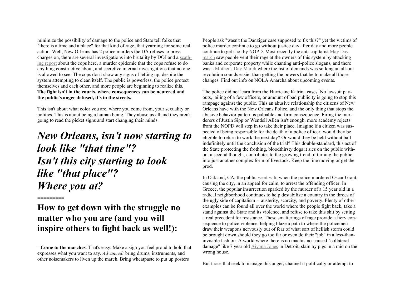minimize the possibility of damage to the police and State tell folks that "there is a time and a place" for that kind of rage, that yearning for some real action. Well, New Orleans has 2 police murders the DA refuses to press charges on, there are several investigations into brutality by DOJ and a [scath](http://louisianajusticeinstitute.blogspot.com/2011/03/us-department-of-justice-report-finds.html)[ing report](http://louisianajusticeinstitute.blogspot.com/2011/03/us-department-of-justice-report-finds.html) about the cops here, a murder epidemic that the cops refuse to do anything constructive about, and secretive internal investigations that no one is allowed to see. The cops don't show any signs of letting up, despite the system attempting to clean itself. The public is powerless, the police protect themselves and each other, and more people are beginning to realize this. **The fight isn't in the courts, where consequences can be neutered and the public's anger defused, it's in the streets.**

This isn't about what color you are, where you come from, your sexuality or politics. This is about being a human being. They abuse us all and they aren't going to read the picket signs and start changing their minds.

#### *New Orleans, isn't now starting to look like "that time"? Isn't this city starting to look like "that place"? Where you at?*

#### **How to get down with the struggle no matter who you are (and you will inspire others to fight back as well!):**

**---------**

--**Come to the marches**. That's easy. Make a sign you feel proud to hold that expresses what you want to say. *Advanced:* bring drums, instruments, and other noisemakers to liven up the march. Bring wheatpaste to put up posters

People ask "wasn't the Danziger case supposed to fix this?" yet the victims of police murder continue to go without justice day after day and more people continue to get shot by NOPD. Most recently the anti-capitalist [May Day](http://nolaanarcha.blogspot.com/2012/05/over-100-attend-new-orleans-may-day.html)  [march](http://nolaanarcha.blogspot.com/2012/05/over-100-attend-new-orleans-may-day.html) saw people vent their rage at the owners of this system by attacking banks and corporate property while chanting anti-police slogans, and there was a [Mother's Day March](http://nolaanarcha.blogspot.com/2012/05/mothers-march-against-injustice-justice.html) where the list of demands was so long an all-out revolution sounds easier than getting the powers that be to make all those changes. Find out info on NOLA Anarcha about upcoming events.

The police did not learn from the Hurricane Katrina cases. No lawsuit payouts, jailing of a few officers, or amount of bad publicity is going to stop this rampage against the public. This an abusive relationship the citizens of New Orleans have with the New Orleans Police, and the only thing that stops the abusive behavior pattern is palpable and firm consequence. Firing the murderers of Justin Sipp or Wendell Allen isn't enough, more academy rejects from the NOPD will step in to take their place. Imagine if a citizen was suspected of being responsible for the death of a police officer, would they be eligible to return to work the next day? Or would they be held without bail indefinitely until the conclusion of the trial? This double-standard, this act of the State protecting the frothing, bloodthirsty dogs it sics on the public without a second thought, contributes to the growing trend of turning the public into just another complex form of livestock. Keep the line moving or get the prod.

In Oakland, CA, the public [went wild](http://www.indybay.org/uploads/2009/06/15/unfinished_acts_edit3reduced.pdf) when the police murdered Oscar Grant, causing the city, in an appeal for calm, to arrest the offending officer. In Greece, the popular insurrection sparked by the murder of a 15 year old in a radical neighborhood continues to help destabilize a country in the throes of the ugly side of capitalism -- austerity, scarcity, and poverty. Plenty of other examples can be found all over the world where the people fight back, take a stand against the State and its violence, and refuse to take this shit by setting a real precedent for resistance. These smatterings of rage provide a fiery consequence to police violence, helping blaze a path to where the policemen draw their weapons nervously out of fear of what sort of hellish storm could be brought down should they go too far or even do their "job" in a less-thaninvisible fashion. A world where there is no machismo-caused "collateral damage" like 7 year old [Aiyana Jones](http://www.cnn.com/2010/CRIME/05/16/michigan.police.child/index.html) in Detroit, slain by pigs in a raid on the wrong house.

But [those](http://www.nola.com/crime/index.ssf/2012/05/mediation_program_for_new_orle.html) that seek to manage this anger, channel it politically or attempt to